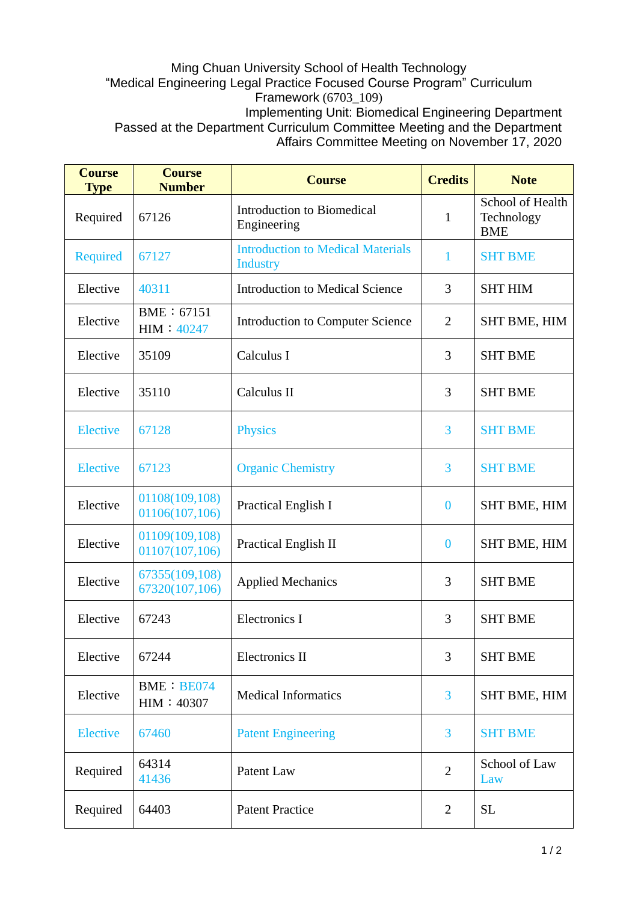## Ming Chuan University School of Health Technology "Medical Engineering Legal Practice Focused Course Program" Curriculum Framework (6703\_109) Implementing Unit: Biomedical Engineering Department Passed at the Department Curriculum Committee Meeting and the Department Affairs Committee Meeting on November 17, 2020

| <b>Course</b><br><b>Type</b> | <b>Course</b><br><b>Number</b>   | <b>Course</b>                                               | <b>Credits</b> | <b>Note</b>                                  |
|------------------------------|----------------------------------|-------------------------------------------------------------|----------------|----------------------------------------------|
| Required                     | 67126                            | Introduction to Biomedical<br>Engineering                   | $\mathbf{1}$   | School of Health<br>Technology<br><b>BME</b> |
| <b>Required</b>              | 67127                            | <b>Introduction to Medical Materials</b><br><b>Industry</b> | 1              | <b>SHT BME</b>                               |
| Elective                     | 40311                            | <b>Introduction to Medical Science</b>                      | 3              | <b>SHT HIM</b>                               |
| Elective                     | BME: 67151<br>HIM: 40247         | <b>Introduction to Computer Science</b>                     | $\overline{2}$ | SHT BME, HIM                                 |
| Elective                     | 35109                            | Calculus I                                                  | 3              | <b>SHT BME</b>                               |
| Elective                     | 35110                            | Calculus II                                                 | 3              | <b>SHT BME</b>                               |
| <b>Elective</b>              | 67128                            | <b>Physics</b>                                              | 3              | <b>SHT BME</b>                               |
| <b>Elective</b>              | 67123                            | <b>Organic Chemistry</b>                                    | 3              | <b>SHT BME</b>                               |
| Elective                     | 01108(109,108)<br>01106(107,106) | Practical English I                                         | $\bf{0}$       | <b>SHT BME, HIM</b>                          |
| Elective                     | 01109(109,108)<br>01107(107,106) | Practical English II                                        | $\mathbf{0}$   | <b>SHT BME, HIM</b>                          |
| Elective                     | 67355(109,108)<br>67320(107,106) | <b>Applied Mechanics</b>                                    | 3              | <b>SHT BME</b>                               |
| Elective                     | 67243                            | <b>Electronics I</b>                                        | 3              | <b>SHT BME</b>                               |
| Elective                     | 67244                            | Electronics II                                              | 3              | <b>SHT BME</b>                               |
| Elective                     | <b>BME: BE074</b><br>HIM: 40307  | <b>Medical Informatics</b>                                  | $\overline{3}$ | <b>SHT BME, HIM</b>                          |
| Elective                     | 67460                            | <b>Patent Engineering</b>                                   | 3              | <b>SHT BME</b>                               |
| Required                     | 64314<br>41436                   | Patent Law                                                  | $\overline{2}$ | School of Law<br>Law                         |
| Required                     | 64403                            | <b>Patent Practice</b>                                      | $\overline{2}$ | <b>SL</b>                                    |